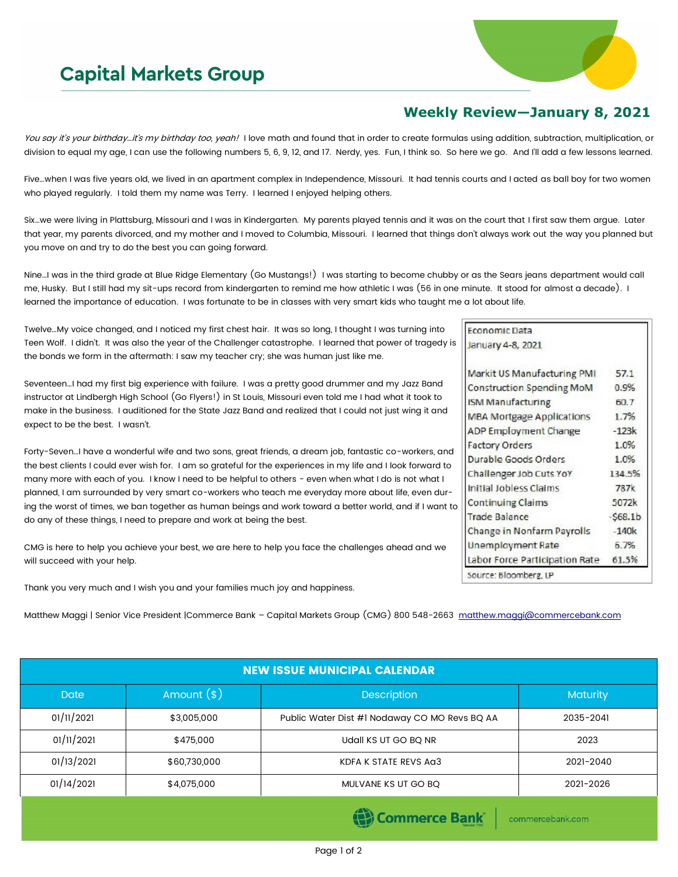## **Capital Markets Group**



## **Weekly Review—January 8, 2021**

Economic Data January 4-8, 2021

**ISM Manufacturing** 

Durable Goods Orders

Initial Jobless Claims

**Unemployment Rate** 

Source: Bloomberg, LP

**Continuing Claims** 

**Trade Balance** 

Challenger Job Cuts YoY

Change in Nonfarm Payrolls

Labor Force Participation Rate

commercebank.com

**Factory Orders** 

Markit US Manufacturing PMI

**Construction Spending MoM** 

**MBA Mortgage Applications** ADP Employment Change

57.1

0.9%

60.7 1.7%

 $-123k$ 

1.0%

1.0%

134.5%

787k

5072k

 $-$ \$68.1b

 $-140k$ 

6.7% 61.5%

You say it's your birthday...it's my birthday too, yeah! I love math and found that in order to create formulas using addition, subtraction, multiplication, or division to equal my age, I can use the following numbers 5, 6, 9, 12, and 17. Nerdy, yes. Fun, I think so. So here we go. And I'll add a few lessons learned.

Five…when I was five years old, we lived in an apartment complex in Independence, Missouri. It had tennis courts and I acted as ball boy for two women who played regularly. I told them my name was Terry. I learned I enjoyed helping others.

Six…we were living in Plattsburg, Missouri and I was in Kindergarten. My parents played tennis and it was on the court that I first saw them argue. Later that year, my parents divorced, and my mother and I moved to Columbia, Missouri. I learned that things don't always work out the way you planned but you move on and try to do the best you can going forward.

Nine…I was in the third grade at Blue Ridge Elementary (Go Mustangs!) I was starting to become chubby or as the Sears jeans department would call me, Husky. But I still had my sit-ups record from kindergarten to remind me how athletic I was (56 in one minute. It stood for almost a decade). I learned the importance of education. I was fortunate to be in classes with very smart kids who taught me a lot about life.

Twelve…My voice changed, and I noticed my first chest hair. It was so long, I thought I was turning into Teen Wolf. I didn't. It was also the year of the Challenger catastrophe. I learned that power of tragedy is the bonds we form in the aftermath: I saw my teacher cry; she was human just like me.

Seventeen…I had my first big experience with failure. I was a pretty good drummer and my Jazz Band instructor at Lindbergh High School (Go Flyers!) in St Louis, Missouri even told me I had what it took to make in the business. I auditioned for the State Jazz Band and realized that I could not just wing it and expect to be the best. I wasn't.

Forty-Seven…I have a wonderful wife and two sons, great friends, a dream job, fantastic co-workers, and the best clients I could ever wish for. I am so grateful for the experiences in my life and I look forward to many more with each of you. I know I need to be helpful to others - even when what I do is not what I planned, I am surrounded by very smart co-workers who teach me everyday more about life, even during the worst of times, we ban together as human beings and work toward a better world, and if I want to do any of these things, I need to prepare and work at being the best.

CMG is here to help you achieve your best, we are here to help you face the challenges ahead and we will succeed with your help.

Thank you very much and I wish you and your families much joy and happiness.

Matthew Maggi | Senior Vice President |Commerce Bank - Capital Markets Group (CMG) 800 548-2663 [matthew.maggi@commercebank.com](mailto:matthew.maggi@commercebank.com)

| <b>NEW ISSUE MUNICIPAL CALENDAR</b> |              |                                               |           |  |  |  |
|-------------------------------------|--------------|-----------------------------------------------|-----------|--|--|--|
| <b>Date</b>                         | Amount $(*)$ | <b>Description</b>                            | Maturity  |  |  |  |
| 01/11/2021                          | \$3,005,000  | Public Water Dist #1 Nodaway CO MO Revs BQ AA | 2035-2041 |  |  |  |
| 01/11/2021                          | \$475,000    | Udall KS UT GO BQ NR                          | 2023      |  |  |  |
| 01/13/2021                          | \$60,730,000 | KDFA K STATE REVS AG3                         | 2021-2040 |  |  |  |
| 01/14/2021                          | \$4,075,000  | MULVANE KS UT GO BQ                           | 2021-2026 |  |  |  |
|                                     |              |                                               |           |  |  |  |

## Page 1 of 2

**(B)** Commerce Bank